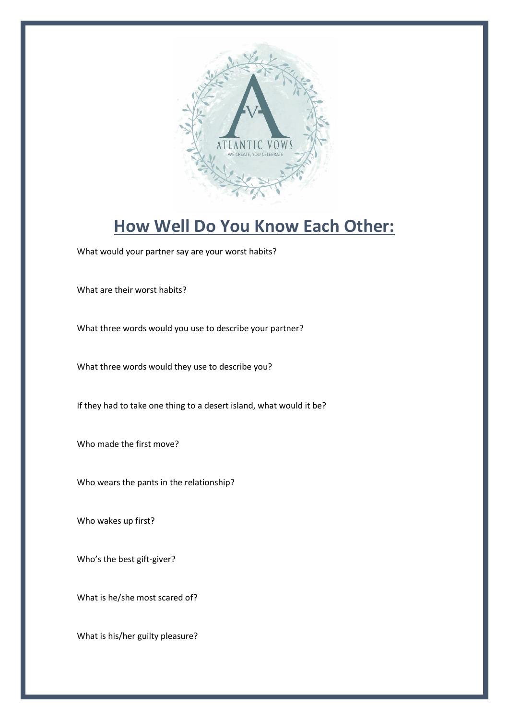

## **How Well Do You Know Each Other:**

What would your partner say are your worst habits?

What are their worst habits?

What three words would you use to describe your partner?

What three words would they use to describe you?

If they had to take one thing to a desert island, what would it be?

Who made the first move?

Who wears the pants in the relationship?

Who wakes up first?

Who's the best gift-giver?

What is he/she most scared of?

What is his/her guilty pleasure?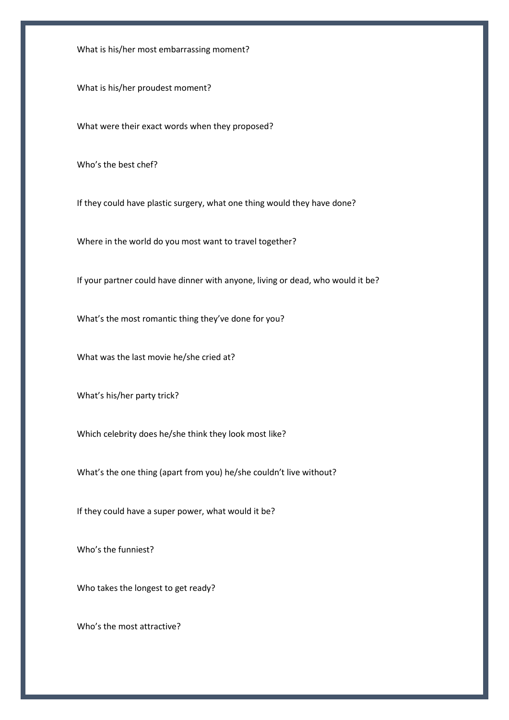What is his/her most embarrassing moment?

What is his/her proudest moment?

What were their exact words when they proposed?

Who's the best chef?

If they could have plastic surgery, what one thing would they have done?

Where in the world do you most want to travel together?

If your partner could have dinner with anyone, living or dead, who would it be?

What's the most romantic thing they've done for you?

What was the last movie he/she cried at?

What's his/her party trick?

Which celebrity does he/she think they look most like?

What's the one thing (apart from you) he/she couldn't live without?

If they could have a super power, what would it be?

Who's the funniest?

Who takes the longest to get ready?

Who's the most attractive?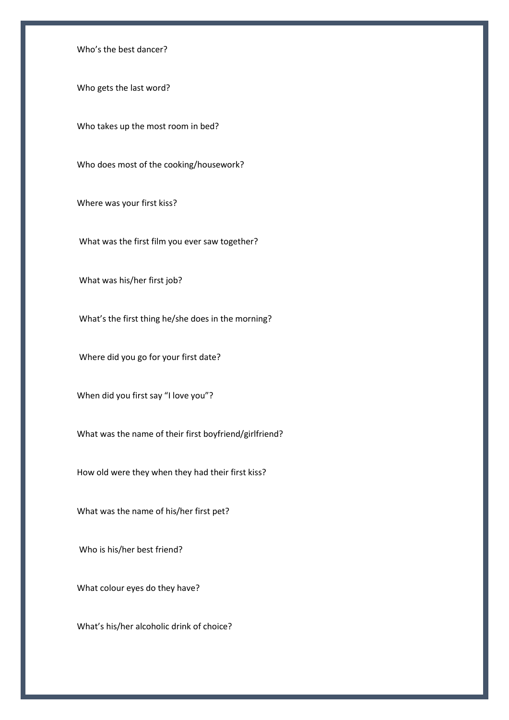Who's the best dancer?

Who gets the last word?

Who takes up the most room in bed?

Who does most of the cooking/housework?

Where was your first kiss?

What was the first film you ever saw together?

What was his/her first job?

What's the first thing he/she does in the morning?

Where did you go for your first date?

When did you first say "I love you"?

What was the name of their first boyfriend/girlfriend?

How old were they when they had their first kiss?

What was the name of his/her first pet?

Who is his/her best friend?

What colour eyes do they have?

What's his/her alcoholic drink of choice?